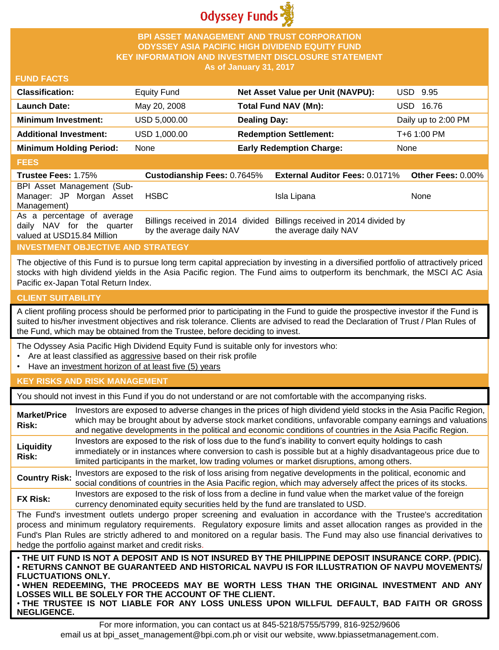

#### **BPI ASSET MANAGEMENT AND TRUST CORPORATION ODYSSEY ASIA PACIFIC HIGH DIVIDEND EQUITY FUND KEY INFORMATION AND INVESTMENT DISCLOSURE STATEMENT As of January 31, 2017**

#### **FUND FACTS**

| <b>Classification:</b>         | <b>Equity Fund</b> | Net Asset Value per Unit (NAVPU): | USD 9.95            |
|--------------------------------|--------------------|-----------------------------------|---------------------|
| <b>Launch Date:</b>            | May 20, 2008       | <b>Total Fund NAV (Mn):</b>       | 16.76<br>USD.       |
| <b>Minimum Investment:</b>     | USD 5,000.00       | <b>Dealing Day:</b>               | Daily up to 2:00 PM |
| <b>Additional Investment:</b>  | USD 1,000.00       | <b>Redemption Settlement:</b>     | T+6 1:00 PM         |
| <b>Minimum Holding Period:</b> | None               | <b>Early Redemption Charge:</b>   | <b>None</b>         |
|                                |                    |                                   |                     |

#### **FEES**

| <b>Trustee Fees: 1.75%</b>                                                            |                          | Custodianship Fees: 0.7645% External Auditor Fees: 0.0171% Other Fees: 0.00%                    |      |
|---------------------------------------------------------------------------------------|--------------------------|-------------------------------------------------------------------------------------------------|------|
| BPI Asset Management (Sub-<br>Manager: JP Morgan Asset<br>Management)                 | <b>HSBC</b>              | Isla Lipana                                                                                     | None |
| As a percentage of average<br>daily NAV for the quarter<br>valued at USD15.84 Million | by the average daily NAV | Billings received in 2014 divided Billings received in 2014 divided by<br>the average daily NAV |      |

# **INVESTMENT OBJECTIVE AND STRATEGY**

The objective of this Fund is to pursue long term capital appreciation by investing in a diversified portfolio of attractively priced stocks with high dividend yields in the Asia Pacific region. The Fund aims to outperform its benchmark, the MSCI AC Asia Pacific ex-Japan Total Return Index.

## **CLIENT SUITABILITY**

**NEGLIGENCE.**

A client profiling process should be performed prior to participating in the Fund to guide the prospective investor if the Fund is suited to his/her investment objectives and risk tolerance. Clients are advised to read the Declaration of Trust / Plan Rules of the Fund, which may be obtained from the Trustee, before deciding to invest.

The Odyssey Asia Pacific High Dividend Equity Fund is suitable only for investors who:

- Are at least classified as aggressive based on their risk profile
- Have an investment horizon of at least five (5) years

## **KEY RISKS AND RISK MANAGEMENT**

You should not invest in this Fund if you do not understand or are not comfortable with the accompanying risks.

| <b>Market/Price</b><br>Risk: | Investors are exposed to adverse changes in the prices of high dividend yield stocks in the Asia Pacific Region,<br>which may be brought about by adverse stock market conditions, unfavorable company earnings and valuations<br>and negative developments in the political and economic conditions of countries in the Asia Pacific Region.                                                                                                    |
|------------------------------|--------------------------------------------------------------------------------------------------------------------------------------------------------------------------------------------------------------------------------------------------------------------------------------------------------------------------------------------------------------------------------------------------------------------------------------------------|
| Liquidity<br>Risk:           | Investors are exposed to the risk of loss due to the fund's inability to convert equity holdings to cash<br>immediately or in instances where conversion to cash is possible but at a highly disadvantageous price due to<br>limited participants in the market, low trading volumes or market disruptions, among others.                                                                                                                        |
| <b>Country Risk:</b>         | Investors are exposed to the risk of loss arising from negative developments in the political, economic and<br>social conditions of countries in the Asia Pacific region, which may adversely affect the prices of its stocks.                                                                                                                                                                                                                   |
| <b>FX Risk:</b>              | Investors are exposed to the risk of loss from a decline in fund value when the market value of the foreign<br>currency denominated equity securities held by the fund are translated to USD.                                                                                                                                                                                                                                                    |
|                              | The Fund's investment outlets undergo proper screening and evaluation in accordance with the Trustee's accreditation<br>process and minimum regulatory requirements. Regulatory exposure limits and asset allocation ranges as provided in the<br>Fund's Plan Rules are strictly adhered to and monitored on a regular basis. The Fund may also use financial derivatives to<br>hedge the portfolio against market and credit risks.             |
| <b>FLUCTUATIONS ONLY.</b>    | . THE UIT FUND IS NOT A DEPOSIT AND IS NOT INSURED BY THE PHILIPPINE DEPOSIT INSURANCE CORP. (PDIC).<br>· RETURNS CANNOT BE GUARANTEED AND HISTORICAL NAVPU IS FOR ILLUSTRATION OF NAVPU MOVEMENTS/<br>. WHEN REDEEMING, THE PROCEEDS MAY BE WORTH LESS THAN THE ORIGINAL INVESTMENT AND ANY<br>LOSSES WILL BE SOLELY FOR THE ACCOUNT OF THE CLIENT.<br>. THE TRUSTEE IS NOT LIABLE FOR ANY LOSS UNLESS UPON WILLFUL DEFAULT, BAD FAITH OR GROSS |

For more information, you can contact us at 845-5218/5755/5799, 816-9252/9606 email us at bpi\_asset\_management@bpi.com.ph or visit our website, www.bpiassetmanagement.com.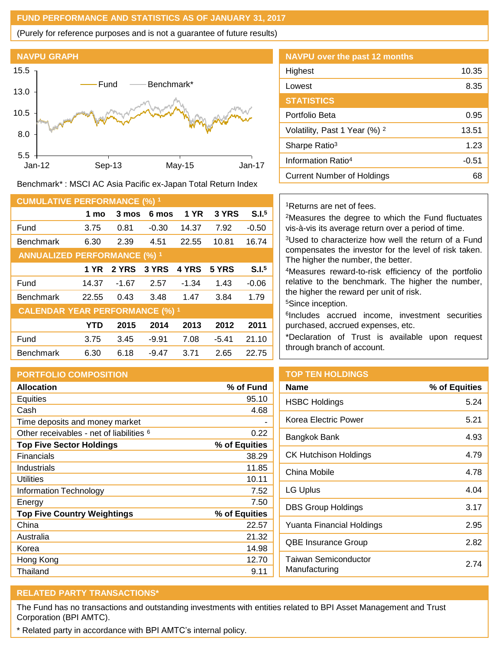#### **FUND PERFORMANCE AND STATISTICS AS OF JANUARY 31, 2017**

(Purely for reference purposes and is not a guarantee of future results)



Benchmark\* : MSCI AC Asia Pacific ex-Japan Total Return Index

| <b>CUMULATIVE PERFORMANCE (%) 1</b>    |            |         |         |             |         |                   |
|----------------------------------------|------------|---------|---------|-------------|---------|-------------------|
|                                        | 1 mo       | 3 mos   | 6 mos   | <b>1 YR</b> | 3 YRS   | S.I. <sup>5</sup> |
| Fund                                   | 3.75       | 0.81    | $-0.30$ | 14.37       | 7.92    | $-0.50$           |
| <b>Benchmark</b>                       | 6.30       | 2.39    | 4.51    | 22.55       | 10.81   | 16.74             |
| <b>ANNUALIZED PERFORMANCE (%) 1</b>    |            |         |         |             |         |                   |
|                                        | 1 YR       | 2 YRS   | 3 YRS   | 4 YRS       | 5 YRS   | S.I. <sup>5</sup> |
| Fund                                   | 14.37      | $-1.67$ | 2.57    | $-1.34$     | 1.43    | $-0.06$           |
| <b>Benchmark</b>                       | 22.55      | 0.43    | 3.48    | 1.47        | 3.84    | 1.79              |
| <b>CALENDAR YEAR PERFORMANCE (%) 1</b> |            |         |         |             |         |                   |
|                                        | <b>YTD</b> | 2015    | 2014    | 2013        | 2012    | 2011              |
| Fund                                   | 3.75       | 3.45    | $-9.91$ | 7.08        | $-5.41$ | 21.10             |
| <b>Benchmark</b>                       | 6.30       | 6.18    | $-9.47$ | 3.71        | 2.65    | 22.75             |

## **PORTFOLIO COMPOSITION**

| <b>Allocation</b>                                   | % of Fund     |
|-----------------------------------------------------|---------------|
| Equities                                            | 95.10         |
| Cash                                                | 4.68          |
| Time deposits and money market                      |               |
| Other receivables - net of liabilities <sup>6</sup> | 0.22          |
| <b>Top Five Sector Holdings</b>                     | % of Equities |
| Financials                                          | 38.29         |
| Industrials                                         | 11.85         |
| Utilities                                           | 10.11         |
| Information Technology                              | 7.52          |
| Energy                                              | 7.50          |
| <b>Top Five Country Weightings</b>                  | % of Equities |
| China                                               | 22.57         |
| Australia                                           | 21.32         |
| Korea                                               | 14.98         |
| Hong Kong                                           | 12.70         |
| Thailand                                            | 9.11          |

| <b>NAVPU over the past 12 months</b>     |       |
|------------------------------------------|-------|
| Highest                                  | 10.35 |
| Lowest                                   | 8.35  |
| <b>STATISTICS</b>                        |       |
| Portfolio Beta                           | 0.95  |
| Volatility, Past 1 Year (%) <sup>2</sup> | 13.51 |
| Sharpe Ratio <sup>3</sup>                | 1.23  |
| Information Ratio <sup>4</sup>           | -0.51 |
| Current Number of Holdings               | 68    |

## <sup>1</sup>Returns are net of fees.

<sup>2</sup>Measures the degree to which the Fund fluctuates vis-à-vis its average return over a period of time.

<sup>3</sup>Used to characterize how well the return of a Fund compensates the investor for the level of risk taken. The higher the number, the better.

<sup>4</sup>Measures reward-to-risk efficiency of the portfolio relative to the benchmark. The higher the number, the higher the reward per unit of risk.

<sup>5</sup>Since inception.

6 Includes accrued income, investment securities purchased, accrued expenses, etc.

\*Declaration of Trust is available upon request through branch of account.

# **TOP TEN HOLDINGS**

| Name                                  | % of Equities |
|---------------------------------------|---------------|
| <b>HSBC Holdings</b>                  | 5.24          |
| Korea Electric Power                  | 5.21          |
| Bangkok Bank                          | 4.93          |
| CK Hutchison Holdings                 | 4.79          |
| China Mobile                          | 4.78          |
| LG Uplus                              | 4.04          |
| <b>DBS Group Holdings</b>             | 3.17          |
| Yuanta Financial Holdings             | 2.95          |
| QBE Insurance Group                   | 2.82          |
| Taiwan Semiconductor<br>Manufacturing | 2 74          |

# **RELATED PARTY TRANSACTIONS\***

The Fund has no transactions and outstanding investments with entities related to BPI Asset Management and Trust Corporation (BPI AMTC).

\* Related party in accordance with BPI AMTC's internal policy.